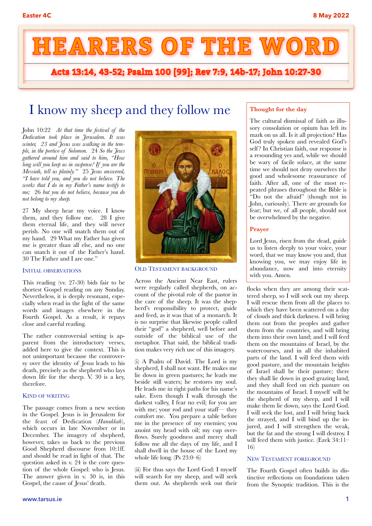

## I know my sheep and they follow me **Thought for the day**

John 10:22 *At that time the festival of the Dedication took place in Jerusalem. It was winter, 23 and Jesus was walking in the temple, in the portico of Solomon.* 24 *So the Jews gathered around him and said to him, "How long will you keep us in suspense? If you are the Messiah, tell us plainly."* 25 *Jesus answered, "I have told you, and you do not believe. The works that I do in my Father's name testify to me;* 26 *but you do not believe, because you do not belong to my sheep.*

27 My sheep hear my voice. I know them, and they follow me. 28 I give them eternal life, and they will never perish. No one will snatch them out of my hand. 29 What my Father has given me is greater than all else, and no one can snatch it out of the Father's hand. 30 The Father and I are one."

#### INITIAL OBSERVATIONS

This reading (vv. 27-30) bids fair to be shortest Gospel reading on any Sunday. Nevertheless, it is deeply resonant, especially when read in the light of the same words and images elsewhere in the Fourth Gospel. As a result, it repays close and careful reading.

The rather controversial setting is apparent from the introductory verses, added here to give the context. This is not unimportant because the controversy over the identity of Jesus leads to his death, precisely as the shepherd who lays down life for the sheep. V. 30 is a key, therefore.

#### KIND OF WRITING

The passage comes from a new section in the Gospel. Jesus is in Jerusalem for the feast of Dedication (*Hanukkah*), which occurs in late November or in December. The imagery of shepherd, however, takes us back to the previous Good Shepherd discourse from 10:1ff. and should be read in light of that. The question asked in v. 24 is the core question of the whole Gospel: who is Jesus. The answer given in v. 30 is, in this Gospel, the cause of Jesus' death.



#### OLD TESTAMENT BACKGROUND

Across the Ancient Near East, rulers were regularly called shepherds, on account of the pivotal role of the pastor in the care of the sheep. It was the shepherd's responsibility to protect, guide and feed, as it was that of a monarch. It is no surprise that likewise people called their "god" a shepherd, well before and outside of the biblical use of the metaphor. That said, the biblical tradition makes very rich use of this imagery.

(i) A Psalm of David. The Lord is my shepherd, I shall not want. He makes me lie down in green pastures; he leads me beside still waters; he restores my soul. He leads me in right paths for his name's sake. Even though I walk through the darkest valley, I fear no evil; for you are with me; your rod and your staff— they comfort me. You prepare a table before me in the presence of my enemies; you anoint my head with oil; my cup overflows. Surely goodness and mercy shall follow me all the days of my life, and I shall dwell in the house of the Lord my whole life long. (Ps 23:0–6)

(ii) For thus says the Lord God: I myself will search for my sheep, and will seek them out. As shepherds seek out their

The cultural dismissal of faith as illusory consolation or opium has left its mark on us all. Is it all projection? Has God truly spoken and revealed God's self? In Christian faith, our response is a resounding yes and, while we should be wary of facile solace, at the same time we should not deny ourselves the good and wholesome reassurance of faith. After all, one of the most repeated phrases throughout the Bible is "Do not the afraid" (though not in John, curiously). There *are* grounds for fear; but we, of all people, should not be overwhelmed by the negative.

#### **Prayer**

Lord Jesus, risen from the dead, guide us to listen deeply to your voice, your word, that we may know you and, that knowing you, we may enjoy life in abundance, now and into eternity with you. Amen.

flocks when they are among their scattered sheep, so I will seek out my sheep. I will rescue them from all the places to which they have been scattered on a day of clouds and thick darkness. I will bring them out from the peoples and gather them from the countries, and will bring them into their own land; and I will feed them on the mountains of Israel, by the watercourses, and in all the inhabited parts of the land. I will feed them with good pasture, and the mountain heights of Israel shall be their pasture; there they shall lie down in good grazing land, and they shall feed on rich pasture on the mountains of Israel. I myself will be the shepherd of my sheep, and I will make them lie down, says the Lord God. I will seek the lost, and I will bring back the strayed, and I will bind up the injured, and I will strengthen the weak, but the fat and the strong I will destroy. I will feed them with justice. (Ezek 34:11– 16)

#### NEW TESTAMENT FOREGROUND

The Fourth Gospel often builds its distinctive reflections on foundations taken from the Synoptic tradition. This is the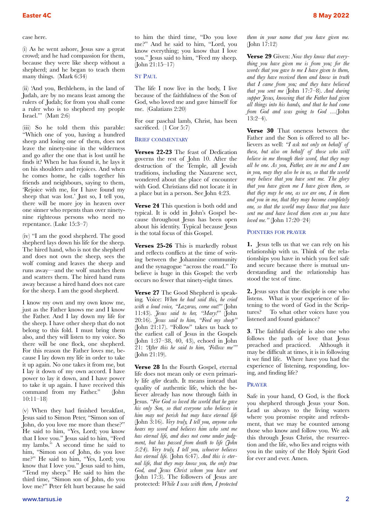#### case here.

(i) As he went ashore, Jesus saw a great crowd; and he had compassion for them, because they were like sheep without a shepherd; and he began to teach them many things. (Mark 6:34)

(ii) 'And you, Bethlehem, in the land of Judah, are by no means least among the rulers of Judah; for from you shall come a ruler who is to shepherd my people Israel.'" (Matt 2:6)

(iii) So he told them this parable: "Which one of you, having a hundred sheep and losing one of them, does not leave the ninety-nine in the wilderness and go after the one that is lost until he finds it? When he has found it, he lays it on his shoulders and rejoices. And when he comes home, he calls together his friends and neighbours, saying to them, 'Rejoice with me, for I have found my sheep that was lost.' Just so, I tell you, there will be more joy in heaven over one sinner who repents than over ninetynine righteous persons who need no repentance. (Luke 15:3–7)

(iv) "I am the good shepherd. The good shepherd lays down his life for the sheep. The hired hand, who is not the shepherd and does not own the sheep, sees the wolf coming and leaves the sheep and runs away—and the wolf snatches them and scatters them. The hired hand runs away because a hired hand does not care for the sheep. I am the good shepherd.

I know my own and my own know me, just as the Father knows me and I know the Father. And I lay down my life for the sheep. I have other sheep that do not belong to this fold. I must bring them also, and they will listen to my voice. So there will be one flock, one shepherd. For this reason the Father loves me, because I lay down my life in order to take it up again. No one takes it from me, but I lay it down of my own accord. I have power to lay it down, and I have power to take it up again. I have received this command from my Father." (John 10:11–18)

(v) When they had finished breakfast, Jesus said to Simon Peter, "Simon son of John, do you love me more than these?" He said to him, "Yes, Lord; you know that I love you." Jesus said to him, "Feed my lambs." A second time he said to him, "Simon son of John, do you love me?" He said to him, "Yes, Lord; you know that I love you." Jesus said to him, "Tend my sheep." He said to him the third time, "Simon son of John, do you love me?" Peter felt hurt because he said

to him the third time, "Do you love me?" And he said to him, "Lord, you know everything; you know that I love you." Jesus said to him, "Feed my sheep. (John 21:15–17)

#### ST PAUL

The life I now live in the body, I live because of the faithfulness of the Son of God, who loved me and gave himself for me. (Galatians 2:20)

For our paschal lamb, Christ, has been sacrificed. (1 Cor 5:7)

#### BRIEF COMMENTARY

**Verses 22-23** The feast of Dedication governs the rest of John 10. After the destruction of the Temple, all Jewish traditions, including the Nazarene sect, wondered about the place of encounter with God. Christians did not locate it in a place but in a person. See John 4:23.

**Verse 24** This question is both odd and typical. It is odd in John's Gospel because throughout Jesus has been open about his identity. Typical because Jesus is the total focus of this Gospel.

**Verses 25-26** This is markedly robust and reflects conflicts at the time of writing between the Johannine community and the synagogue "across the road." To believe is huge in this Gospel: the verb occurs no fewer that ninety-eight times.

**Verse 27** The Good Shepherd is speaking. Voice: *When he had said this, he cried with a loud voice, "Lazarus, come out!"* (John 11:43). *Jesus said to her, "Mary!"* (John 20:16). *Jesus said to him, "Feed my sheep"*  (John 21:17). "Follow" takes us back to the earliest call of Jesus in the Gospels (John 1:37–38, 40, 43), echoed in John 21: *"After this he said to him, 'Follow me'"*  (John 21:19).

**Verse 28** In the Fourth Gospel, eternal life does not mean only or even primarily life *after* death. It means instead that quality of authentic life, which the believer already has now through faith in Jesus. *"For God so loved the world that he gave his only Son, so that everyone who believes in him may not perish but may have eternal life* (John 3:16). *Very truly, I tell you, anyone who hears my word and believes him who sent me has eternal life, and does not come under judgment, but has passed from death to life (John 5:24). Very truly, I tell you, whoever believes has eternal life.* (John 6:47). *And this is eternal life, that they may know you, the only true God, and Jesus Christ whom you have sent* (John 17:3). The followers of Jesus are protected: *While I was with them, I protected* 

**Verse 29** Given: *Now they know that everything you have given me is from you; for the words that you gave to me I have given to them, and they have received them and know in truth that I came from you; and they have believed that you sent me* (John 17:7–8). *And during supper Jesus, knowing that the Father had given all things into his hands, and that he had come from God and was going to God …*(John  $13:2-4$ ).

**Verse 30** That oneness between the Father and the Son is offered to all believers as well: *"I ask not only on behalf of these, but also on behalf of those who will believe in me through their word, that they may all be one. As you, Father, are in me and I am in you, may they also be in us, so that the world may believe that you have sent me. The glory that you have given me I have given them, so that they may be one, as we are one, I in them and you in me, that they may become completely one, so that the world may know that you have sent me and have loved them even as you have loved me."* (John 17:20–24)

#### POINTERS FOR PRAYER

**1.** Jesus tells us that we can rely on his relationship with us. Think of the relationships you have in which you feel safe and secure because there is mutual understanding and the relationship has stood the test of time.

**2.** Jesus says that the disciple is one who listens. What is your experience of listening to the word of God in the Scriptures? To what other voices have you listened and found guidance?

**3**. The faithful disciple is also one who follows the path of love that Jesus preached and practiced. Although it may be difficult at times, it is in following it we find life. Where have you had the experience of listening, responding, loving, and finding life?

#### PRAYER

Safe in your hand, O God, is the flock you shepherd through Jesus your Son. Lead us always to the living waters where you promise respite and refreshment, that we may be counted among those who know and follow you. We ask this through Jesus Christ, the resurrection and the life, who lies and reigns with you in the unity of the Holy Spirit God for ever and ever. Amen.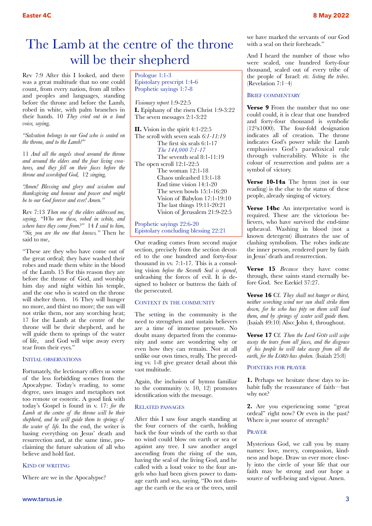# The Lamb at the centre of the throne will be their shepherd

Rev 7:9 After this I looked, and there was a great multitude that no one could count, from every nation, from all tribes and peoples and languages, standing before the throne and before the Lamb, robed in white, with palm branches in their hands. 10 *They cried out in a loud voice, saying,*

*"Salvation belongs to our God who is seated on the throne, and to the Lamb!"*

11 *And all the angels stood around the throne and around the elders and the four living creatures, and they fell on their faces before the throne and worshiped God,* 12 *singing,*

*"Amen! Blessing and glory and wisdom and thanksgiving and honour and power and might be to our God forever and ever! Amen."* 

Rev 7:13 *Then one of the elders addressed me, saying, "Who are these, robed in white, and where have they come from?"* 14 *I said to him, "Sir, you are the one that knows."* Then he said to me,

"These are they who have come out of the great ordeal; they have washed their robes and made them white in the blood of the Lamb. 15 For this reason they are before the throne of God, and worship him day and night within his temple, and the one who is seated on the throne will shelter them. 16 They will hunger no more, and thirst no more; the sun will not strike them, nor any scorching heat; 17 for the Lamb at the centre of the throne will be their shepherd, and he will guide them to springs of the water of life, and God will wipe away every tear from their eyes."

#### INITIAL OBSERVATIONS

Fortunately, the lectionary offers us some of the less forbidding scenes from the Apocalypse. Today's reading, to some degree, uses images and metaphors not too remote or esoteric. A good link with today's Gospel is found in v. 17: *for the Lamb at the centre of the throne will be their shepherd, and he will guide them to springs of the water of life.* In the end, the writer is basing everything on Jesus' death and resurrection and, at the same time, proclaiming the future salvation of all who believe and hold fast.

#### KIND OF WRITING

Where are we in the Apocalypse?

Prologue 1:1-3 Epistolary prescript 1:4-6 Prophetic sayings 1:7-8

*Visionary report* 1:9-22:5 **I.** Epiphany of the risen Christ 1:9-3:22 The seven messages 2:1-3:22

**II.** Vision in the spirit 4:1-22:5 The scroll with seven seals *6:1-11:19* The first six seals 6:1-17 *The 144,000 7:1-17* The seventh seal 8:1-11:19 The open scroll 12:1-22:5

The woman 12:1-18 Chaos unleashed 13:1-18 End time vision 14:1-20 The seven bowls 15:1-16:20 Vision of Babylon 17:1-19:10 The last things 19:11-20:21 Vision of Jerusalem 21:9-22:5

Prophetic sayings 22:6-20 Epistolary concluding blessing 22:21

Our reading comes from second major section, precisely from the section devoted to the one hundred and forty-four thousand in vv. 7:1-17. This is a consoling vision *before the Seventh Seal is opened*, unleashing the forces of evil. It is designed to bolster or buttress the faith of the persecuted.

#### CONTEXT IN THE COMMUNITY

The setting in the community is the need to strengthen and sustain believers are a time of immense pressure. No doubt many departed from the community and some are wondering why or even how they can remain. Not at all unlike our own times, really. The preceding vv. 1-8 give greater detail about this vast multitude.

Again, the inclusion of hymns familiar to the community  $(v. 10, 12)$  promotes identification with the message.

#### RELATED PASSAGES

After this I saw four angels standing at the four corners of the earth, holding back the four winds of the earth so that no wind could blow on earth or sea or against any tree. I saw another angel ascending from the rising of the sun, having the seal of the living God, and he called with a loud voice to the four angels who had been given power to damage earth and sea, saying, "Do not damage the earth or the sea or the trees, until we have marked the servants of our God with a seal on their foreheads."

And I heard the number of those who were sealed, one hundred forty-four thousand, sealed out of every tribe of the people of Israel: *etc. listing the tribes*. (Revelation 7:1–4)

#### BRIEF COMMENTARY

**Verse 9** From the number that no one could could, it is clear that one hundred and forty-four thousand is symbolic  $(12^{2}x1000)$ . The four-fold designation indicates all of creation. The throne indicates God's power while the Lamb emphasises God's paradoxical rule through vulnerability. White is the colour of resurrection and palms are a symbol of victory.

**Verse 10-14a** The hymn (not in our reading) is the clue to the status of these people, already singing of victory.

**Verse 14bc** An interpretative word is required. These are the victorious believers, who have survived the end-time upheaval. Washing in blood (not a known detergent) illustrates the use of clashing symbolism. The robes indicate the inner person, rendered pure by faith in Jesus' death and resurrection.

**Verse 15** *Because* they have come through, these saints stand eternally before God. See Ezekiel 37:27.

**Verse 16** Cf. *They shall not hunger or thirst, neither scorching wind nor sun shall strike them down, for he who has pity on them will lead them, and by springs of water will guide them.* (Isaiah 49:10) Also: John 4, throughout.

**Verse 17** Cf. *Then the Lord GOD will wipe away the tears from all faces, and the disgrace of his people he will take away from all the earth, for the LORD has spoken.* (Isaiah 25:8)

#### POINTERS FOR PRAYER

**1.** Perhaps we hesitate these days to inhabit fully the reassurance of faith—but why not?

**2.** Are you experiencing some "great ordeal" right now? Or even in the past? Where is *your* source of strength?

#### PRAYER

Mysterious God, we call you by many names: love, mercy, compassion, kindness and hope. Draw us ever more closely into the circle of your life that our faith may be strong and our hope a source of well-being and vigour. Amen.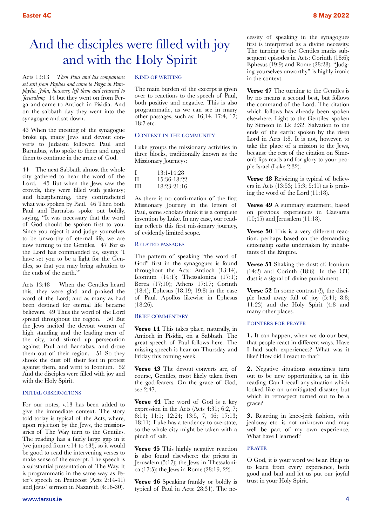# And the disciples were filled with joy and with the Holy Spirit

Acts 13:13 *Then Paul and his companions set sail from Paphos and came to Perga in Pamphylia. John, however, left them and returned to Jerusalem;* 14 but they went on from Perga and came to Antioch in Pisidia. And on the sabbath day they went into the synagogue and sat down.

43 When the meeting of the synagogue broke up, many Jews and devout converts to Judaism followed Paul and Barnabas, who spoke to them and urged them to continue in the grace of God.

44 The next Sabbath almost the whole city gathered to hear the word of the Lord. 45 But when the Jews saw the crowds, they were filled with jealousy; and blaspheming, they contradicted what was spoken by Paul. 46 Then both Paul and Barnabas spoke out boldly, saying, "It was necessary that the word of God should be spoken first to you. Since you reject it and judge yourselves to be unworthy of eternal life, we are now turning to the Gentiles. 47 For so the Lord has commanded us, saying, 'I have set you to be a light for the Gentiles, so that you may bring salvation to the ends of the earth.'"

Acts 13:48 When the Gentiles heard this, they were glad and praised the word of the Lord; and as many as had been destined for eternal life became believers. 49 Thus the word of the Lord spread throughout the region. 50 But the Jews incited the devout women of high standing and the leading men of the city, and stirred up persecution against Paul and Barnabas, and drove them out of their region. 51 So they shook the dust off their feet in protest against them, and went to Iconium. 52 And the disciples were filled with joy and with the Holy Spirit.

#### INITIAL OBSERVATIONS

For our notes, v.13 has been added to give the immediate context. The story told today is typical of the Acts, where, upon rejection by the Jews, the missionaries of The Way turn to the Gentiles. The reading has a fairly large gap in it (we jumped from v.14 to 43!), so it would be good to read the intervening verses to make sense of the excerpt. The speech is a substantial presentation of The Way. It is programmatic in the same way as Peter's speech on Pentecost (Acts 2:14-41) and Jesus' sermon in Nazareth (4:16-30).

#### KIND OF WRITING

The main burden of the excerpt is given over to reactions to the speech of Paul, both positive and negative. This is also programmatic, as we can see in many other passages, such as: 16;14, 17:4, 17; 18:7 etc.

#### CONTEXT IN THE COMMUNITY

Luke groups the missionary activities in three blocks, traditionally known as the Missionary Journeys:

| I | $13:1 - 14:28$  |
|---|-----------------|
| Н | 15:36-18:22     |
| Ш | $18:23-21:16$ . |

As there is no confirmation of the first Missionary Journey in the letters of Paul, some scholars think it is a complete invention by Luke. In any case, our reading reflects this first missionary journey, of evidently limited scope.

### RELATED PASSAGES

The pattern of speaking "the word of God" first in the synagogues is found throughout the Acts: Antioch (13:14), Iconium (14:1); Thessalonica (17:1); Berea (17;10); Athens 17:17; Corinth (18:4); Ephesus (18:19; 19:8) in the case of Paul. Apollos likewise in Ephesus (18:26).

#### BRIEF COMMENTARY

**Verse 14** This takes place, naturally, in Antioch in Pisidia, on a Sabbath. The great speech of Paul follows here. The missing speech is hear on Thursday and Friday this coming week.

**Verse 43** The devout converts are, of course, Gentiles, most likely taken from the god-fearers. On the grace of God, see 2:47.

**Verse 44** The word of God is a key expression in the Acts (Acts 4:31; 6:2, 7; 8:14; 11:1; 12:24; 13:5, 7, 46; 17:13; 18:11). Luke has a tendency to overstate, so the whole city might be taken with a pinch of salt.

**Verse 45** This highly negative reaction is also found elsewhere: the priests in Jerusalem (5:17); the Jews in Thessalonica (17:5); the Jews in Rome (28:19, 22).

**Verse 46** Speaking frankly or boldly is typical of Paul in Acts: 28:31). The necessity of speaking in the synagogues first is interpreted as a divine necessity. The turning to the Gentiles marks subsequent episodes in Acts: Corinth (18:6); Ephesus (19:9) and Rome (28:28). "Judging yourselves unworthy" is highly ironic in the context.

**Verse 47** The turning to the Gentiles is by no means a second best, but follows the command of the Lord. The citation which follows has already been spoken elsewhere. Light to the Gentiles: spoken by Simeon in Lk 2:32. Salvation to the ends of the earth: spoken by the risen Lord in Acts 1:8. It is not, however, to take the place of a mission to the Jews, because the rest of the citation on Simeon's lips reads and for glory to your people Israel (Luke 2:32).

**Verse 48** Rejoicing is typical of believers in Acts (13:53; 15:3; 5:41) as is praising the word of the Lord (11:18).

**Verse 49** A summary statement, based on previous experiences in Caesarea (10;45) and Jerusalem (11:18).

**Verse 50** This is a very different reaction, perhaps based on the demanding citizenship oaths undertaken by inhabitants of the Empire.

**Verse 51** Shaking the dust: cf. Iconium (14:2) and Corinth (18:6). In the OT, dust is a signal of divine punishment.

**Verse 52** In some contrast (!), the disciple head away full of joy (5:41; 8:8; 11:23) and the Holy Spirit (4:8 and many other places.

#### POINTERS FOR PRAYER

**1.** It can happen, when we do our best, that people react in different ways. Have I had such experiences? What was it like? How did I react to that?

**2.** Negative situations sometimes turn out to be new opportunities, as in this reading. Can I recall any situation which looked like an unmitigated disaster, but which in retrospect turned out to be a grace?

**3.** Reacting in knee-jerk fashion, with jealousy etc. is not unknown and may well be part of my own experience. What have I learned?

#### PRAYER

O God, it is your word we bear. Help us to learn from every experience, both good and bad and let us put our joyful trust in your Holy Spirit.